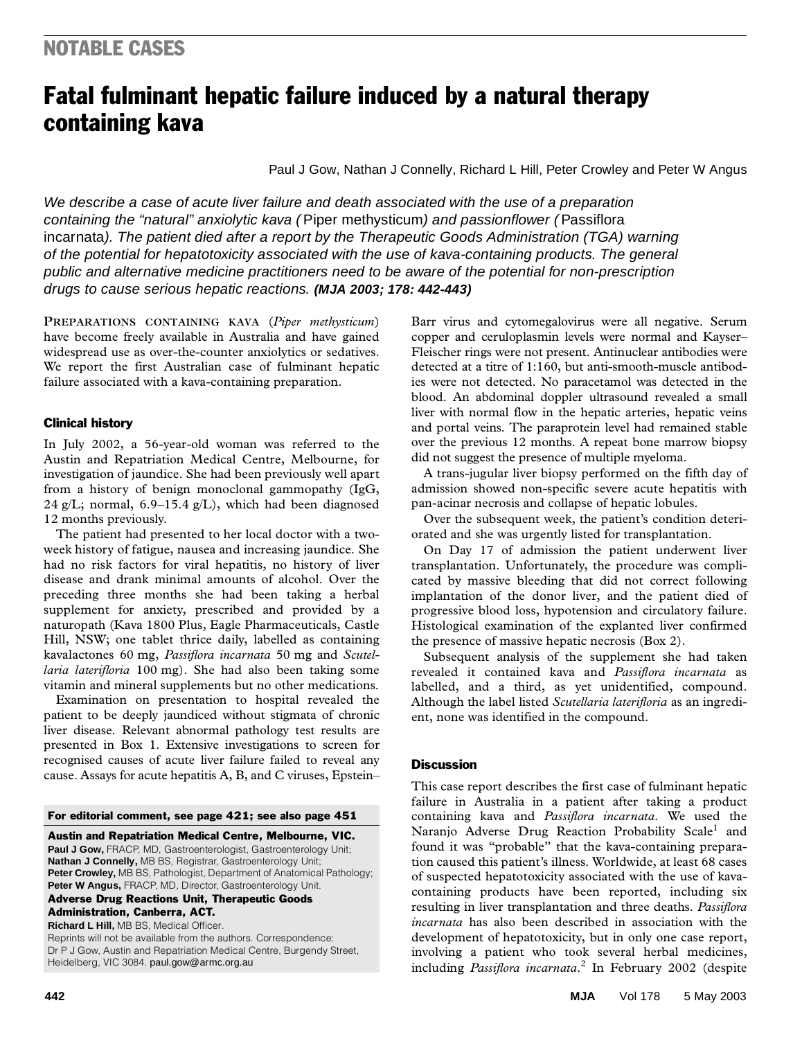# Fatal fulminant hepatic failure induced by a natural therapy containing kava

Paul J Gow, Nathan J Connelly, Richard L Hill, Peter Crowley and Peter W Angus

of the potential for hepatotoxicity associated with the use of kava-containing products. The general public and alternative medicine practitioners need to be aware of the potential for non-prescription ©The Medical Journal of Australia 2003 www.mja.com.au drugs to cause serious hepatic reactions. **(MJA 2003; 178: 442-443)** We describe a case of acute liver failure and death associated with the use of a preparation containing the "natural" anxiolytic kava ( Piper methysticum) and passionflower ( Passiflora incarnata). The patient died after a report by the Therapeutic Goods Administration (TGA) warning

**PREPARATIONS CONTAINING KAVA** (*Piper methysticum*) have become freely available in Australia and have gained widespread use as over-the-counter anxiolytics or sedatives. We report the first Australian case of fulminant hepatic failure associated with a kava-containing preparation.

### Clinical history

In July 2002, a 56-year-old woman was referred to the Austin and Repatriation Medical Centre, Melbourne, for investigation of jaundice. She had been previously well apart from a history of benign monoclonal gammopathy (IgG, 24 g/L; normal, 6.9–15.4 g/L), which had been diagnosed 12 months previously.

The patient had presented to her local doctor with a twoweek history of fatigue, nausea and increasing jaundice. She had no risk factors for viral hepatitis, no history of liver disease and drank minimal amounts of alcohol. Over the preceding three months she had been taking a herbal supplement for anxiety, prescribed and provided by a naturopath (Kava 1800 Plus, Eagle Pharmaceuticals, Castle Hill, NSW; one tablet thrice daily, labelled as containing kavalactones 60 mg, *Passiflora incarnata* 50 mg and *Scutellaria laterifloria* 100 mg). She had also been taking some vitamin and mineral supplements but no other medications.

Examination on presentation to hospital revealed the patient to be deeply jaundiced without stigmata of chronic liver disease. Relevant abnormal pathology test results are presented in Box 1. Extensive investigations to screen for recognised causes of acute liver failure failed to reveal any cause. Assays for acute hepatitis A, B, and C viruses, Epstein–

#### For editorial comment, see page 421; see also page 451

Austin and Repatriation Medical Centre, Melbourne, VIC.

Paul J Gow, FRACP, MD, Gastroenterologist, Gastroenterology Unit; **Nathan J Connelly,** MB BS, Registrar, Gastroenterology Unit; Peter Crowley, MB BS, Pathologist, Department of Anatomical Pathology; Peter W Angus, FRACP, MD, Director, Gastroenterology Unit. Adverse Drug Reactions Unit, Therapeutic Goods

Administration, Canberra, ACT.

**Richard L Hill,** MB BS, Medical Officer. Reprints will not be available from the authors. Correspondence: Dr P J Gow, Austin and Repatriation Medical Centre, Burgendy Street, Heidelberg, VIC 3084. paul.gow@armc.org.au

Barr virus and cytomegalovirus were all negative. Serum copper and ceruloplasmin levels were normal and Kayser– Fleischer rings were not present. Antinuclear antibodies were detected at a titre of 1:160, but anti-smooth-muscle antibodies were not detected. No paracetamol was detected in the blood. An abdominal doppler ultrasound revealed a small liver with normal flow in the hepatic arteries, hepatic veins and portal veins. The paraprotein level had remained stable over the previous 12 months. A repeat bone marrow biopsy did not suggest the presence of multiple myeloma.

A trans-jugular liver biopsy performed on the fifth day of admission showed non-specific severe acute hepatitis with pan-acinar necrosis and collapse of hepatic lobules.

Over the subsequent week, the patient's condition deteriorated and she was urgently listed for transplantation.

On Day 17 of admission the patient underwent liver transplantation. Unfortunately, the procedure was complicated by massive bleeding that did not correct following implantation of the donor liver, and the patient died of progressive blood loss, hypotension and circulatory failure. Histological examination of the explanted liver confirmed the presence of massive hepatic necrosis (Box 2).

Subsequent analysis of the supplement she had taken revealed it contained kava and *Passiflora incarnata* as labelled, and a third, as yet unidentified, compound. Although the label listed *Scutellaria laterifloria* as an ingredient, none was identified in the compound.

#### **Discussion**

This case report describes the first case of fulminant hepatic failure in Australia in a patient after taking a product containing kava and *Passiflora incarnata*. We used the Naranjo Adverse Drug Reaction Probability Scale<sup>1</sup> and found it was "probable" that the kava-containing preparation caused this patient's illness. Worldwide, at least 68 cases of suspected hepatotoxicity associated with the use of kavacontaining products have been reported, including six resulting in liver transplantation and three deaths. *Passiflora incarnata* has also been described in association with the development of hepatotoxicity, but in only one case report, involving a patient who took several herbal medicines, including *Passiflora incarnata*. <sup>2</sup> In February 2002 (despite